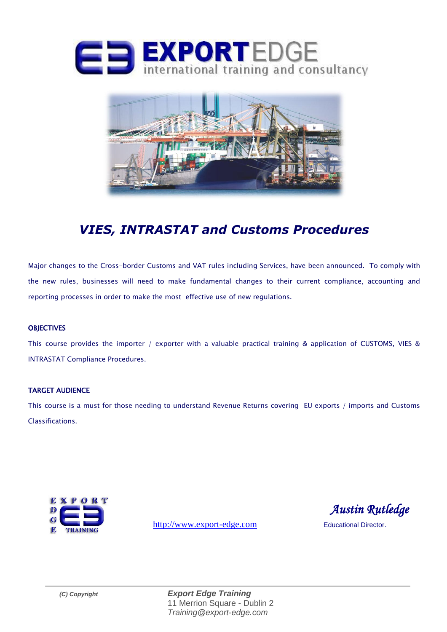



# *VIES, INTRASTAT and Customs Procedures*

Major changes to the Cross-border Customs and VAT rules including Services, have been announced. To comply with the new rules, businesses will need to make fundamental changes to their current compliance, accounting and reporting processes in order to make the most effective use of new regulations.

#### **OBJECTIVES**

This course provides the importer / exporter with a valuable practical training & application of CUSTOMS, VIES & INTRASTAT Compliance Procedures.

#### TARGET AUDIENCE

This course is a must for those needing to understand Revenue Returns covering EU exports / imports and Customs Classifications.



[http://www.export-edge.com](http://www.export-edge.com/) Educational Director.

 *Austin Rutledge* 

*(C) Copyright Export Edge Training* 11 Merrion Square - Dublin 2 *Training@export-edge.com*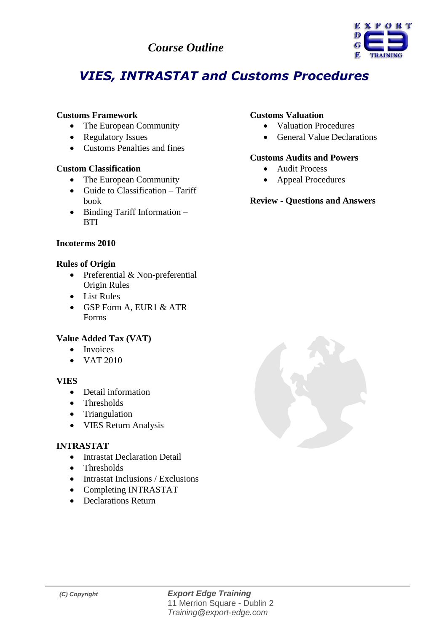### *Course Outline*



# *VIES, INTRASTAT and Customs Procedures*

#### **Customs Framework**

- The European Community
- Regulatory Issues
- Customs Penalties and fines

#### **Custom Classification**

- The European Community
- $\bullet$  Guide to Classification Tariff book
- Binding Tariff Information **BTI**

#### **Incoterms 2010**

#### **Rules of Origin**

- Preferential & Non-preferential Origin Rules
- List Rules
- GSP Form A, EUR1 & ATR Forms

#### **Value Added Tax (VAT)**

- Invoices
- $\bullet$  VAT 2010

#### **VIES**

- Detail information
- Thresholds
- Triangulation
- VIES Return Analysis

#### **INTRASTAT**

- **•** Intrastat Declaration Detail
- **Thresholds**
- Intrastat Inclusions / Exclusions
- Completing INTRASTAT
- Declarations Return

#### **Customs Valuation**

- Valuation Procedures
- General Value Declarations

#### **Customs Audits and Powers**

- Audit Process
- Appeal Procedures

#### **Review - Questions and Answers**